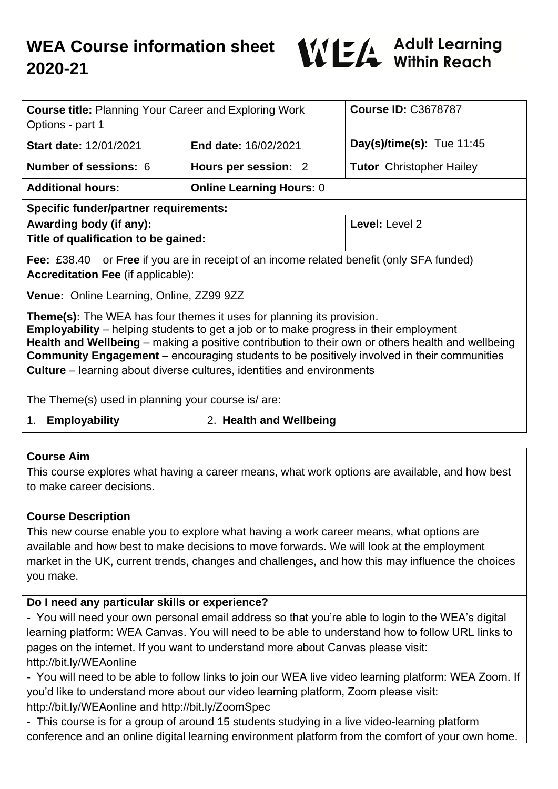

| <b>Course title: Planning Your Career and Exploring Work</b><br>Options - part 1                                                                                                                                                                                                                                                                                                                                                                                                                                                              |                                 | <b>Course ID: C3678787</b>      |
|-----------------------------------------------------------------------------------------------------------------------------------------------------------------------------------------------------------------------------------------------------------------------------------------------------------------------------------------------------------------------------------------------------------------------------------------------------------------------------------------------------------------------------------------------|---------------------------------|---------------------------------|
| <b>Start date: 12/01/2021</b>                                                                                                                                                                                                                                                                                                                                                                                                                                                                                                                 | <b>End date: 16/02/2021</b>     | Day(s)/time(s): Tue $11:45$     |
| <b>Number of sessions: 6</b>                                                                                                                                                                                                                                                                                                                                                                                                                                                                                                                  | Hours per session: 2            | <b>Tutor</b> Christopher Hailey |
| <b>Additional hours:</b>                                                                                                                                                                                                                                                                                                                                                                                                                                                                                                                      | <b>Online Learning Hours: 0</b> |                                 |
| <b>Specific funder/partner requirements:</b>                                                                                                                                                                                                                                                                                                                                                                                                                                                                                                  |                                 |                                 |
| Awarding body (if any):                                                                                                                                                                                                                                                                                                                                                                                                                                                                                                                       |                                 | Level: Level 2                  |
| Title of qualification to be gained:                                                                                                                                                                                                                                                                                                                                                                                                                                                                                                          |                                 |                                 |
| Fee: £38.40 or Free if you are in receipt of an income related benefit (only SFA funded)<br><b>Accreditation Fee (if applicable):</b>                                                                                                                                                                                                                                                                                                                                                                                                         |                                 |                                 |
| Venue: Online Learning, Online, ZZ99 9ZZ                                                                                                                                                                                                                                                                                                                                                                                                                                                                                                      |                                 |                                 |
| <b>Theme(s):</b> The WEA has four themes it uses for planning its provision.<br><b>Employability</b> – helping students to get a job or to make progress in their employment<br>Health and Wellbeing – making a positive contribution to their own or others health and wellbeing<br><b>Community Engagement</b> – encouraging students to be positively involved in their communities<br><b>Culture</b> – learning about diverse cultures, identities and environments<br>The There of all used in planning use $\alpha$ counter is $\alpha$ |                                 |                                 |

The Theme(s) used in planning your course is/ are:

1. **Employability** 2. **Health and Wellbeing**

### **Course Aim**

This course explores what having a career means, what work options are available, and how best to make career decisions.

### **Course Description**

This new course enable you to explore what having a work career means, what options are available and how best to make decisions to move forwards. We will look at the employment market in the UK, current trends, changes and challenges, and how this may influence the choices you make.

### **Do I need any particular skills or experience?**

- You will need your own personal email address so that you're able to login to the WEA's digital learning platform: WEA Canvas. You will need to be able to understand how to follow URL links to pages on the internet. If you want to understand more about Canvas please visit: http://bit.ly/WEAonline

- You will need to be able to follow links to join our WEA live video learning platform: WEA Zoom. If you'd like to understand more about our video learning platform, Zoom please visit: http://bit.ly/WEAonline and http://bit.ly/ZoomSpec

- This course is for a group of around 15 students studying in a live video-learning platform conference and an online digital learning environment platform from the comfort of your own home.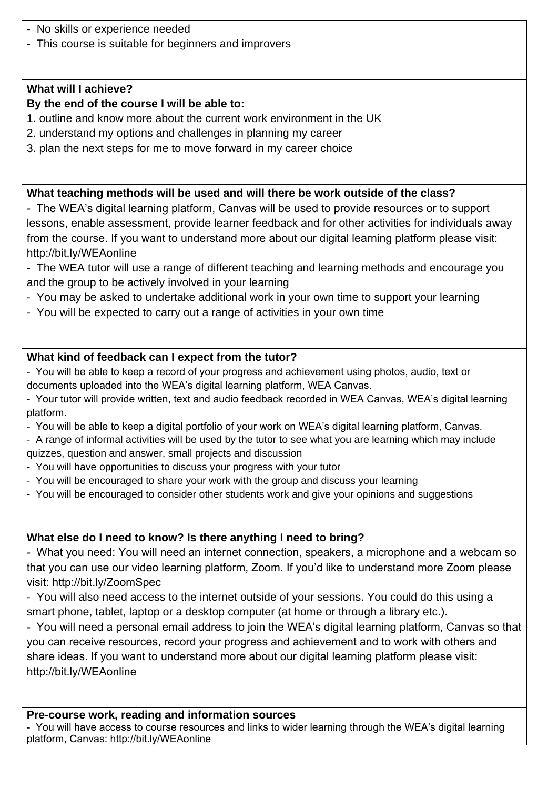- No skills or experience needed
- This course is suitable for beginners and improvers

### **What will I achieve?**

### **By the end of the course I will be able to:**

- 1. outline and know more about the current work environment in the UK
- 2. understand my options and challenges in planning my career
- 3. plan the next steps for me to move forward in my career choice

# **What teaching methods will be used and will there be work outside of the class?**

- The WEA's digital learning platform, Canvas will be used to provide resources or to support lessons, enable assessment, provide learner feedback and for other activities for individuals away from the course. If you want to understand more about our digital learning platform please visit: http://bit.ly/WEAonline

- The WEA tutor will use a range of different teaching and learning methods and encourage you and the group to be actively involved in your learning
- You may be asked to undertake additional work in your own time to support your learning
- You will be expected to carry out a range of activities in your own time

# **What kind of feedback can I expect from the tutor?**

- You will be able to keep a record of your progress and achievement using photos, audio, text or documents uploaded into the WEA's digital learning platform, WEA Canvas.

- Your tutor will provide written, text and audio feedback recorded in WEA Canvas, WEA's digital learning platform.
- You will be able to keep a digital portfolio of your work on WEA's digital learning platform, Canvas.

- A range of informal activities will be used by the tutor to see what you are learning which may include quizzes, question and answer, small projects and discussion

- You will have opportunities to discuss your progress with your tutor
- You will be encouraged to share your work with the group and discuss your learning
- You will be encouraged to consider other students work and give your opinions and suggestions

# **What else do I need to know? Is there anything I need to bring?**

- What you need: You will need an internet connection, speakers, a microphone and a webcam so that you can use our video learning platform, Zoom. If you'd like to understand more Zoom please visit: http://bit.ly/ZoomSpec

- You will also need access to the internet outside of your sessions. You could do this using a smart phone, tablet, laptop or a desktop computer (at home or through a library etc.).

- You will need a personal email address to join the WEA's digital learning platform, Canvas so that you can receive resources, record your progress and achievement and to work with others and share ideas. If you want to understand more about our digital learning platform please visit: http://bit.ly/WEAonline

# **Pre-course work, reading and information sources**

- You will have access to course resources and links to wider learning through the WEA's digital learning platform, Canvas: http://bit.ly/WEAonline